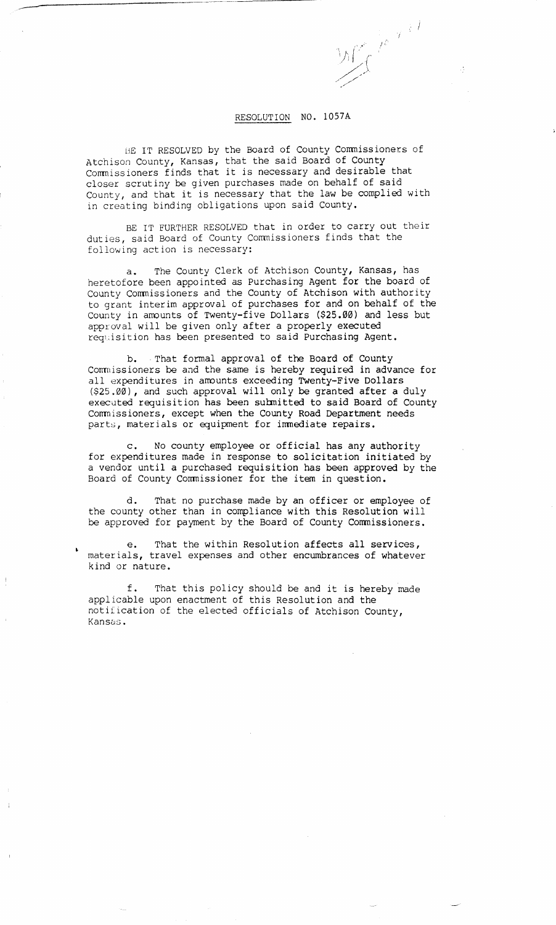## RESOLUTION NO. 1057A

Mary 10 11

BE IT RESOLVED by the Board of County Commissioners of Atchison County, Kansas, that the said Board of County Commissioners finds that it is necessary and desirable that closer scrutiny be given purchases made on behalf of said County, and that it is necessary that the law be complied with in creating binding obligations upon said County.

BE IT FURTHER RESOLVED that in order to carry out their duties, said Board of County Commissioners finds that the following action is necessary:

a. The County Clerk of Atchison County, Kansas, has heretofore been appointed as Purchasing Agent for the board of County Commissioners and the County of Atchison with authority to grant interim approval of purchases for and on behalf of the County in amounts of Twenty-five Dollars (\$25.00) and less but approval will be given only after a properly executed requisition has been presented to said Purchasing Agent.

b. That formal approval of the Board of County Commissioners be and the same is hereby required in advance for all expenditures in amounts exceeding Twenty-Five Dollars  $(525.00)$ , and such approval will only be granted after a duly executed requisition has been submitted to said Board of County Commissioners, except when the County Road Department needs parts, materials or equipment for immediate repairs.

c. No county employee or official has any authority for expenditures made in response to solicitation initiated by a vendor until a purchased requisition has been approved by the Board of County Commissioner for the item in question.

d. That no purchase made by an officer or employee of the county other than in compliance with this Resolution will be approved for payment by the Board of County Commissioners.

e. That the within Resolution affects all services, materials, travel expenses and other encumbrances of whatever kind or nature.

f. That this policy should be and it is hereby made applicable upon enactment of this Resolution and the notification of the elected officials of Atchison County, Kansas.